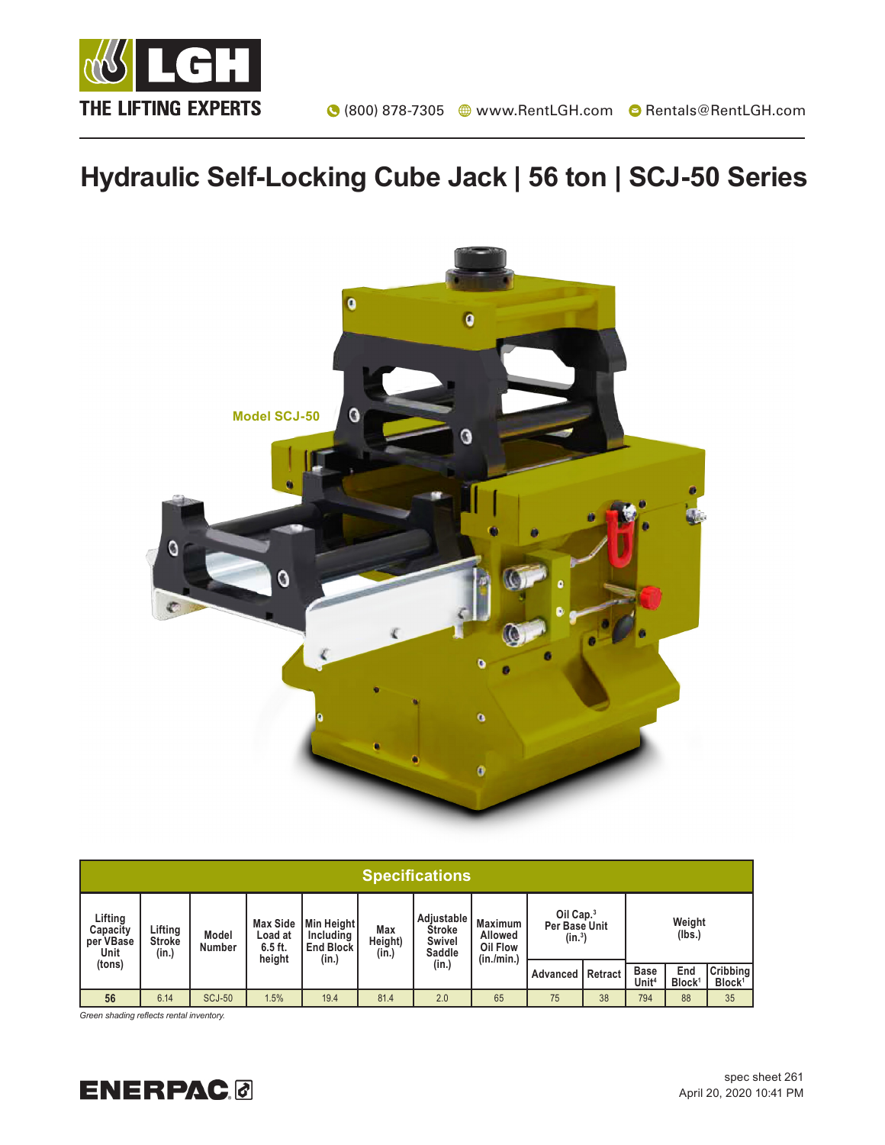

## **Hydraulic Self-Locking Cube Jack | 56 ton | SCJ-50 Series**



| <b>Specifications</b>                    |                                   |                        |                                                   |                                                      |                         |                                                   |                                                     |                                                 |         |                                  |                           |                                |
|------------------------------------------|-----------------------------------|------------------------|---------------------------------------------------|------------------------------------------------------|-------------------------|---------------------------------------------------|-----------------------------------------------------|-------------------------------------------------|---------|----------------------------------|---------------------------|--------------------------------|
| Lifting<br>Capacity<br>per VBase<br>Unit | Lifting<br><b>Stroke</b><br>(in.) | Model<br><b>Number</b> | <b>Max Side</b><br>Load at<br>$6.5$ ft.<br>height | Min Height<br>Including<br><b>End Block</b><br>(in.) | Max<br>Height)<br>(in.) | Adjustable<br>Stroke<br>Swivel<br>Saddle<br>(in.) | <b>Maximum</b><br>Allowed<br>Oil Flow<br>(in./min.) | Oil Cap. <sup>3</sup><br>Per Base Unit<br>(in.) |         | Weight<br>(lbs.)                 |                           |                                |
| (tons)                                   |                                   |                        |                                                   |                                                      |                         |                                                   |                                                     | Advanced                                        | Retract | <b>Base</b><br>Unit <sup>4</sup> | End<br>Block <sup>1</sup> | Cribbing<br>Block <sup>1</sup> |
| 56                                       | 6.14                              | <b>SCJ-50</b>          | 1.5%                                              | 19.4                                                 | 81.4                    | 2.0                                               | 65                                                  | 75                                              | 38      | 794                              | 88                        | 35                             |

*Green shading reflects rental inventory.*